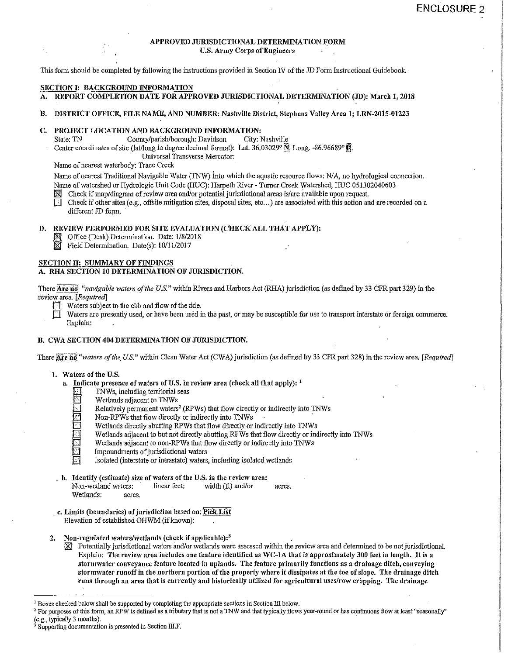# APPROVED JURISDICTIONAL DETERMINATION FORM

U.S. Army Corps of Engineers

This form should be completed by following the instructions provided in Section IV of the ID Fonn Instructional Guidebook.

#### SECTION I: BACKGROUND INFORMATION

- A. REPORT COMPLETION DATE FOR APPROVED JURISDICTIONAL DETERMINATION (JD): March 1, 2018
- B. DISTRICT OFFICE, FILE NAME, AND NUMBER: Nashville District, Stephens Valley Area 1; LRN-2015-01223

# C. PROJECT LOCATION AND BACKGROUND INFORMATION:<br>State: TN County/parish/borough: Davidson City: Nashville

County/parish/borough: Davidson

Center coordinates of site (lat/long in degree decimal format): Lat.  $36.03029^\circ \mathrm{N}$ , Long. -86.96689°  $\overline{\mathbb{B}}$ .

Universal Transverse Mercator:

Name of nearest waterbody: Trace Creek

Name of nearest Traditional Navigable Water (TNW) into which the aquatic resource flows: NIA, no hydrological connection. Name of watershed or Hydrologic Unit Code (HUC): Harpeth River - Turner Creek Watershed, HUC 051302040603<br>Second Check if map/diagram of review area and/or potential jurisdictional areas is/are available upon request

Check if other sites (e.g., offsite mitigation sites, disposal sites, etc...) are associated with this action and are recorded on a different JD form.

### D. REVIEW PERFORMED FOR SITE EVALUATION (CHECK ALL THAT APPLY):

J:}lll Office (Desk) Determination. Date: 1/8/2018

 $\boxtimes$  Field Determination. Date(s): 10/11/2017

# SECTION II: SUMMARY OF FINDINGS

A. RHA SECTION 10 DETERMINATION OF JURISDICTION.

There Are no "navigable waters of the U.S." within Rivers and Harbors Act (RHA) jurisdiction (as defined by 33 CFR part 329) in the review\_area. *[Required]* 

- Waters subject to the ebb and flow of the tide.
- Waters are presently used, or have been used in the past, or may be susceptible for use to transport interstate or foreign commerce. Explain:

#### B. CWA SECTION 404 DETERMINATION OF JURISDICTION.

There **Are no** "waters of the U.S." within Clean Water Act (CWA) jurisdiction (as defined by 33 CFR part 328) in the review area. [Required]

- 1. Waters of the U.S.
	- a. Indicate presence of waters of U.S. in review area (check all that apply):  $<sup>1</sup>$ </sup>
		- [J TNWs, including territorial seas
		- Wetlands adjacent to TNWs
		- Relatively permanent waters<sup>2</sup> (RPWs) that flow directly or indirectly into TNWs Non-RPWs that flow directly or indirectly into TNWs
		-
		- Wetlands directly abutting RPWs that flow directly or indirectly into TNWs
		- Wetlands adjacent to but not directly abutting RPWs that flow directly or indirectly into TNWs
		- Wetlands adjacent to non-RPWs that flow directly or indirectly into TNWs
		- Impoundments of jurisdictional waters
		- Isolated (interstate or intrastate) waters, including isolated wetlands
	- b. Identify (estimate) size of waters of the U.S. in the review area: Non-wetland waters: inear feet: width (ft) and/or acres. Wetlands: acres.
- c. Limits (boundaries) of jurisdiction based on: Pick List Elevation of established OHWM (if known):
- 2. Non-regulated waters/wetlands (check if applicable):<sup>3</sup>
	- $\boxtimes$  Potentially jurisdictional waters and/or wetlands were assessed within the review area and determined to be not jurisdictional. Explain: The review area includes one feature identified as WC-IA that is approximately 300 feet in length. It is a stormwater conveyance feature located in uplands. The feature primarily functions as a drainage ditch, conveying stormwater runoff in the northern portion of the property where it dissipates at the toe of slope. The drainage ditch runs through an area that is currently and historically utilized for agricultural uses/row cropping. The drainage

 $1$  Boxes checked below shall be supported by completing the appropriate sections in Section III below.<br> $2$  For purposes of this form, an RPW is defined as a tributary that is not a TNW and that typically flows year-round (e.g., typically 3 months).<br><sup>3</sup> Supporting documentation is presented in Section III.F.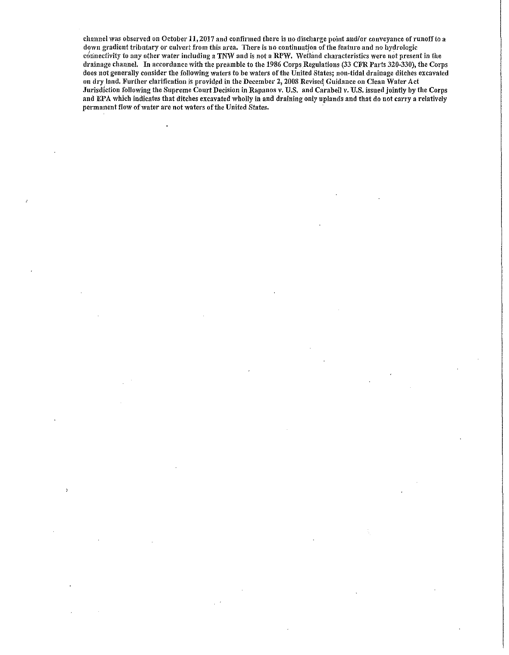channel tvas observed on October 11, 2017 and confirmed there is no discharge point and/or conveyance of runoff *to* a down gradient tributary or culvert from this area. There is no continuation of the feature and no hydrologic connectivity to any other water including a TNW and is not a RPW. Wetland characteristics were not present in the drainage channel. In accordance with the preamble to the 1986 Corps Regulations (33 CFR Parts 320-330), the Corps does not generally consider the following waters to be waters of the United States; non-tidal drainage ditches excavated on dry land. Further clarification is provided in the December 2, 2008 Revised Guidance on Clean Water Act Jurisdiction following the Supreme Court Decision in Rapanos v. U.S. and CarabeIJ v. U.S. issued jointly by the Corps and EPA which indicates that ditches excavated wholly in and draining only uplands and that do not carry a relatively permanent flow of water are not waters of the United States.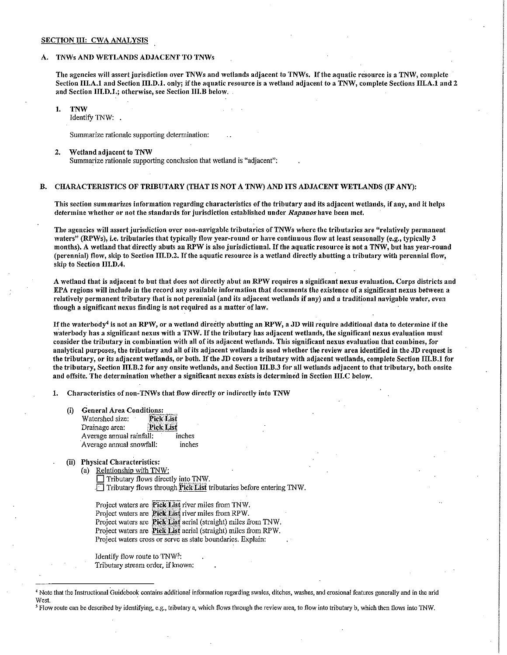#### SECTION III: CWA ANALYSIS

#### A. TNWs AND WETLANDS ADJACENT TO TNWs

The agencies will assert jurisdiction over TNWs and wetlands adjacent to TNWs. If the aquatic resource is a TNW, complete Section III.A.1 and Section III.D.1. only; if the aquatic resource is a wetland adjacent to a TNW, complete Sections III.A.1 and 2 and Section III.D.1.; otherwise, see Section III.B below.

1. TNW

Identify TNW:

Summarize rationale supporting determination:

2. Wetland adjacent to TNW Summarize rationale supporting conclusion that wetland is "adjacent":

#### B. CHARACTERISTICS OF TRIBUTARY (THAT IS NOT A TNW) AND ITS ADJACENT WETLANDS (IF ANY):

This section summarizes information regarding characteristics of the tributary and its adjacent wetlands, if any, and it helps determine whether or not the standards for jurisdiction established under *Rapanos* have been met,

The agencies will assert jurisdiction over non-navigable tributaries of TNWs where the tributaries are "relatively permanent waters" (RPWs), i.e. tributaries that typically flow year-round or have continuous flow at least seasonally (e.g., typically 3 months). A wetland that directly abuts an RPW is also jurisdictional. If the aquatic resource is not a TNW, but has year-round (perennial) flow, skip to Section III.D.2. If the aquatic resource is a wetland directly abutting a tributary with perennial flow, skip to Section III.D.4.

A wetland that is adjacent to but that does not directly abut an RPW requires a significant nexus evaluation. Corps districts and EPA regions will include in the record any available information that documents the existence of a significant nexus behveen a relatively permanent tributary that is not perennial (and its adjacent wetlands if any) and a traditional navigable water, even though a significant nexus finding is not required as a matter of law.

If the waterbody<sup>4</sup> is not an RPW, or a wetland directly abutting an RPW, a JD will require additional data to determine if the waterbody has a significant nexus with a TNW. If the tributary has adjacent wetlands, the significant nexus evaluation must consider the tributary in combination with all of its adjacent 'vetlands. This significant nexus evaluation that combines, for analytical purposes, the tributary and ail of its adjacent wetlands is used whether the review area identified in the JD request is the tributary, or its adjacent wetlands, or both. If the JD covers a tributary with adjacent wetlands, complete Section III.B.1 for the tributary, Section III.B.2 for any onsite wetlands, and Section III.B.3 for all wetlands adjacent to that tributary, both onsite and offsite. The determination whether a significant nexus exists is determined in Section III.C below.

1. Characteristics of non-TNWs that flow directly or indirectly into TNW

- (i) General Area Conditions:<br>Watershed size: Pick List Watershed size: Drainage area: Pick List Average annual rainfall: inches ·Average annual snowfall: inches
- (ii) Physical Characteristics:
	- (a) Relationship with TNW:

 $\Box$  Tributary flows directly into TNW. Tributary flows through Pick List tributaries before entering TNW.

Project waters are **Pick List** river miles from TNW. Project waters are Pick List river miles from RPW. Project waters are Pick List aerial (straight) miles from TNW. Project waters are Pick List aerial (straight) miles from RPW. Project waters cross or serve as state boundaries. Explain:

Identify flow route to TNW<sup>5</sup>: Tributary stream order, if known:

*5* Flow route can be described by identifying, e.g., tributary a, which flows through the review area, to flow into tributary b, which then flows into 1NW.

<sup>4</sup> Note that the Instructional Guidebook contains additional information regarding swales, ditches, washes, and erosional features generally and in the arid West.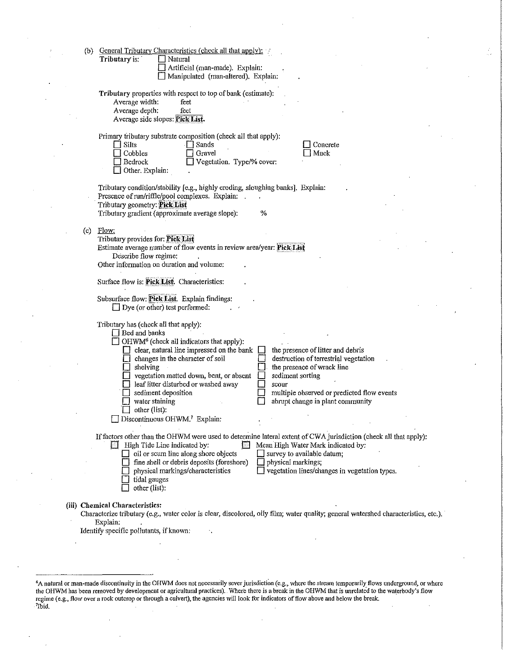|  | (b) | General Tributary Characteristics (check all that apply):<br>Tributary is:<br>Natural<br>Artificial (man-made). Explain:<br>Manipulated (man-altered). Explain:                                                                                                                                                                                                                                                                                                                                                                                                                                   |
|--|-----|---------------------------------------------------------------------------------------------------------------------------------------------------------------------------------------------------------------------------------------------------------------------------------------------------------------------------------------------------------------------------------------------------------------------------------------------------------------------------------------------------------------------------------------------------------------------------------------------------|
|  |     | Tributary properties with respect to top of bank (estimate):<br>Average width:<br>feet<br>Average depth:<br>feet<br>Average side slopes: Pick List.                                                                                                                                                                                                                                                                                                                                                                                                                                               |
|  |     | Primary tributary substrate composition (check all that apply):<br>√ Sands<br>Silts<br>Concrete<br>Gravel<br>Muck<br>Cobbles<br>Bedrock<br>Vegetation. Type/% cover:<br>Other. Explain:                                                                                                                                                                                                                                                                                                                                                                                                           |
|  |     | Tributary condition/stability [e.g., highly eroding, sloughing banks]. Explain:<br>Presence of run/riffle/pool complexes. Explain:<br>Tributary geometry: Pick List<br>%<br>Tributary gradient (approximate average slope):                                                                                                                                                                                                                                                                                                                                                                       |
|  | (c) | Flow:<br>Tributary provides for: Pick List<br>Estimate average number of flow events in review area/year: Pick List<br>Describe flow regime:<br>Other information on duration and volume:                                                                                                                                                                                                                                                                                                                                                                                                         |
|  |     | Surface flow is: Pick List. Characteristics:                                                                                                                                                                                                                                                                                                                                                                                                                                                                                                                                                      |
|  |     | Subsurface flow: Pick List. Explain findings:<br>$\Box$ Dye (or other) test performed:                                                                                                                                                                                                                                                                                                                                                                                                                                                                                                            |
|  |     | Tributary has (check all that apply):<br>Bed and banks<br>OHWM <sup>6</sup> (check all indicators that apply):<br>$\Box$ clear, natural line impressed on the bank<br>the presence of litter and debris<br>changes in the character of soil<br>destruction of terrestrial vegetation<br>the presence of wrack line<br>shelving<br>vegetation matted down, bent, or absent<br>sediment sorting<br>leaf litter disturbed or washed away<br>scour<br>sediment deposition<br>multiple observed or predicted flow events<br>water staining<br>abrupt change in plant community<br>$\Box$ other (list): |
|  |     | Discontinuous OHWM. <sup>7</sup> Explain:<br>If factors other than the OHWM were used to determine lateral extent of CWA jurisdiction (check all that apply):<br>Mean High Water Mark indicated by:<br><b>E</b> High Tide Line indicated by:<br>$\Box$ oil or scum line along shore objects<br>survey to available datum;<br>fine shell or debris deposits (foreshore)<br>physical markings;<br>vegetation lines/changes in vegetation types.<br>physical markings/characteristics<br>tidal gauges                                                                                                |
|  |     | other (list):                                                                                                                                                                                                                                                                                                                                                                                                                                                                                                                                                                                     |
|  |     | (iii) Chemical Characteristics:<br>Characterize tributary (e.g., water color is clear, discolored, oily film; water quality; general watershed characteristics, etc.).<br>Explain.<br>Identify specific pollutants, if known:                                                                                                                                                                                                                                                                                                                                                                     |
|  |     |                                                                                                                                                                                                                                                                                                                                                                                                                                                                                                                                                                                                   |
|  |     | <sup>6</sup> A natural or man-made discontinuity in the OHWM does not necessarily sever jurisdiction (e.g., where the stream temporarily flows underground, or where                                                                                                                                                                                                                                                                                                                                                                                                                              |

i.<br>Ge

regime (e.g., flow over a rock outcrop or through a culvert), the agencies will look for indicators of flow above and below the break.<br><sup>7</sup>Ibid.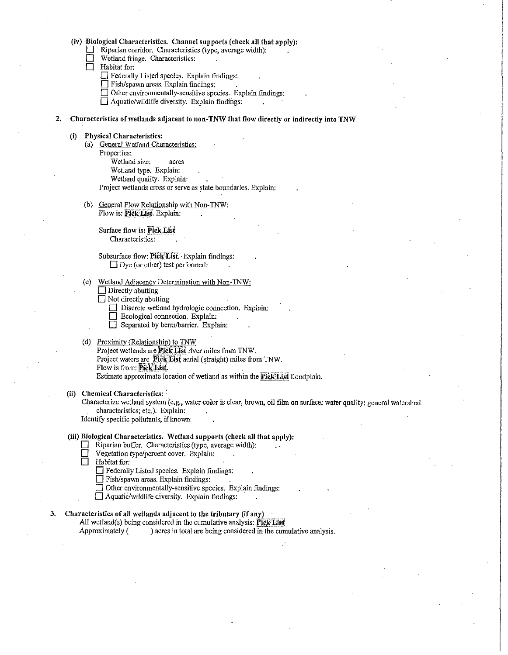(iv) Biological Characteristics. Channel supports (check all that apply):<br>  $\Box$  Riparian corridor. Characteristics (type, average width):

Riparian corridor. Characteristics (type, average width):

 $\Box$  Wetland fringe. Characteristics:<br> $\Box$  Habitat for:

Habitat for:

 $\Box$  Federally Listed species. Explain findings:

 $\Box$  Fish/spawn areas. Explain findings:

 $\Box$  Other environmentally-sensitive species. Explain findings:

 $\Box$  Aquatic/wildlife diversity. Explain findings:

2. Characteristics of wetlands adjacent to non-TNW that flow directly or indirectly into TNW

#### (i) Physical Characteristics:

(a) General Wetland Characteristics: Properties: Wetland size: acres Wetland type. Explain: Wetland quality. Explain:

Project wetlands cross or serve as state boundaries. Explain:

(b) General Flow Relationship with Non-TNW: Flow is: Pick List. Explain:

> Surface flow is: Pick List Characteristics:

Subsurface flow: Pick List. · Explain findings:  $\Box$  Dye (or other) test performed:

(c) Wetland Adjacency Determination with Non-TNW:

 $\Box$  Directly abutting

 $\Box$  Not directly abutting

 $\Box$  Discrete wetland hydrologic connection. Explain:

 $\Box$  Ecological connection. Explain:

Separated by berm/barrier. Explain:

#### (d) Proximity (Relationship) to TNW

Project wetlands are Pick List river miles from TNW. Project waters are Pick List aerial (straight) miles from TNW. Flow is from: Pick List. Estimate approximate location of wetland as within the Pick List floodplain.

(ii) Chemical Characteristics:

Characterize wetland system (e.g., water color is clear, brown, oil film on surface; water quality; general watershed characteristics; etc.). Explain:

Identify specific pollutants, if known:

#### (iii) Biological Characteristics. Wetland supports (check all that apply):

Riparian buffer. Characteristics (type, average width):

- $\Box$  Vegetation type/percent cover. Explain:<br> $\Box$  Habitat for:
- Habitat for:

D Federally Listed species. Explain fmdings:

D Fish/spawn areas. Explain findings:

0 Other environmentally-sensitive species. Explain findings:

D AquatiC/wildlife diversity. Explain findings: ·

## 3. Characteristics of all wetlands adjacent to the tributary (if any)\_

All wetland(s) being considered in the cumulative analysis:  $\text{Pick List}$ <br>Approximately ( ) acres in total are being considered in the cun

) acres in total are being considered in the cumulative analysis.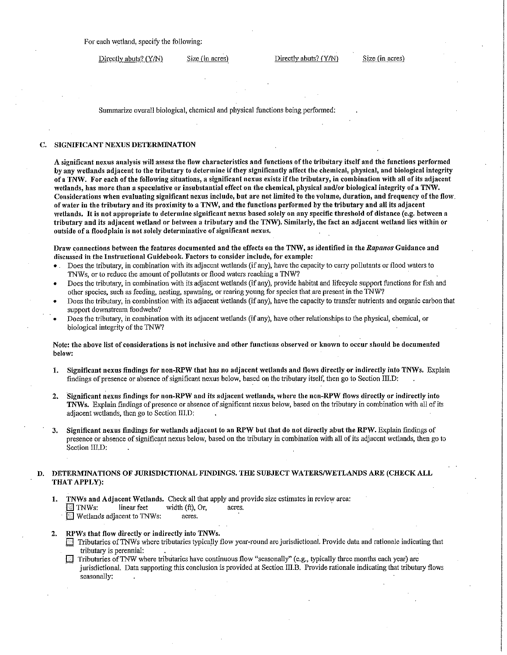Directly abuts? (Y/N) Size (in acres) Directly abuts? (Y/N) Size (in acres)

Summarize overall biological, chemical and physical functions being performed:

#### C. SIGNIFICANT NEXUS DETERMINATION

A significant nexus analysis will assess the flow characteristics and functions of the tributary itself and the functions performed by any wetlands adjacent to the tributary to determine if they significantly affect the chemical, physical, and biological integrity of a TNW. For each of the following situations, a significant nexus exists if the tributary, in combination with all of its adjacent wetlands, has more than a speculative or insubstantial effect on the chemical, physical and/or biological integrity of a TNW. Considerations when evaluating significant nexus include, but are not limited lo the volume, duration, and frequency of the flow. of water in the tributary and its proximity to a TNW, and the functions performed by the tributary and all its adjacent wetlands. It is not appropriate to determine significant nexus based solely on any specific threshold of distance (e.g. between a tributary and its adjacent wetland or between a tributary and the TNW). Similarly, the fact an adjacent wetland lies within or outside of a floodplain is not solely determinative of significant nexus.

Draw connections between the features documented and the effects on the TNW, as identified in the *Rapanos* Guidance and discussed in the Instructional Guidebook. Factors to consider include, for example:

- . Does the tributary, in combination with its adjacent wetlands (if any), have the capacity to carry pollutants or flood waters to 1NWs, or to reduce the amount of pollutants or flood waters reaching a 1NW?
- Does the tributary, in Gombination with its adjacent wetlands (if any), provide habitat and lifecycle support functions for fish and other species, such as feeding, nesting, spawning, or rearing young for species that are present in the TNW?
- Does the tributary, in combination with its adjacent Wetlands (if any), have the capacity to transfer nutrients and organic carbon that support downstream foodwebs?
- Does the tributary, in combination with its adjacent wetlands (if any), have other relationships to the physical, chemical, or biological integrity of the TNW?

Note: the above list of considerations is not inclusive and other functions observed or known to occur should be documented below:

- 1. Significant nexus findings for non-RPW that has no adjacent wetlands and flows directly or indirectly into TNWs. Explain findings of presence or absence of significant nexus below, based on the tributary itself, then go to Section III.D:
- 2. Significant nexus findings for non-RPW and its adjacent 'vetlands, where the non-RPW flows directly or indirectly into TNWs. Explain findings of presence or absence of significant nexus below, based on the tributary in combination with all of its adjacent wetlands, then go to Section III.D:
- 3. Significant nexus findings for 'vetlands adjacent to an RPW but that do not directly abut the RPW. Explain findings of presence or absence of significant nexus below, based on the tributary in combination with all of its adjacent wetlands, then go to Section III.D:

#### D. DETERMINATIONS OF JURISDICTIONAL FINDINGS. THE SUBJECT WATERS/WETLANDS ARE (CHECK ALL THAT APPLY):

- 1. TNWs and Adjacent Wetlands. Check all that apply and provide size estimates in review area: **1 TNWs:** linear feet width (ft), Or, acres.<br>**1** Wetlands adjacent to TNWs: acres.  $\blacksquare$  Wetlands adjacent to TNWs:
- 2. RPWs that flow directly or indirectly into TNWs.
	- Tributaries of TNWs where tributaries typically flow year-round are jurisdictional. Provide data and rationale indicating that tributary is perennial: .
	- $\Box$  Tributaries of TNW where tributaries have continuous flow "seasonally" (e.g., typically three months each year) are jurisdictional. Data supporting this conclusion is provided at Section III.B. Provide rationale indicating that tributary flows seasonally: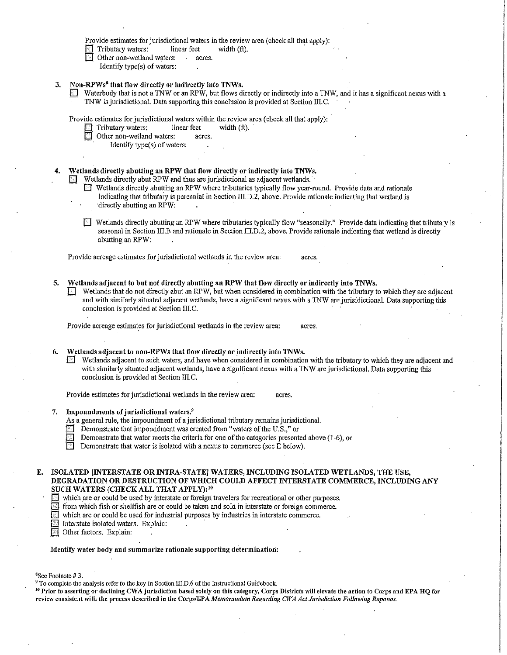|    |    | Provide estimates for jurisdictional waters in the review area (check all that apply):<br>Tributary waters:<br>linear feet<br>width (ft).<br>Other non-wetland waters:<br>acres.                                                                                                                                                                                                                             |
|----|----|--------------------------------------------------------------------------------------------------------------------------------------------------------------------------------------------------------------------------------------------------------------------------------------------------------------------------------------------------------------------------------------------------------------|
|    |    | Identify type(s) of waters:                                                                                                                                                                                                                                                                                                                                                                                  |
|    | 3. | Non-RPWs <sup>8</sup> that flow directly or indirectly into TNWs.<br>Waterbody that is not a TNW or an RPW, but flows directly or indirectly into a TNW, and it has a significant nexus with a<br>TNW is jurisdictional. Data supporting this conclusion is provided at Section III.C.                                                                                                                       |
|    |    | Provide estimates for jurisdictional waters within the review area (check all that apply):<br>Tributary waters:<br>linear feet<br>width (ft).                                                                                                                                                                                                                                                                |
|    |    | Other non-wetland waters:<br>acres.<br>Identify type(s) of waters:                                                                                                                                                                                                                                                                                                                                           |
|    |    |                                                                                                                                                                                                                                                                                                                                                                                                              |
|    | 4. | Wetlands directly abutting an RPW that flow directly or indirectly into TNWs.                                                                                                                                                                                                                                                                                                                                |
|    |    | Wetlands directly abut RPW and thus are jurisdictional as adjacent wetlands.                                                                                                                                                                                                                                                                                                                                 |
|    |    | Wetlands directly abutting an RPW where tributaries typically flow year-round. Provide data and rationale<br>indicating that tributary is perennial in Section III.D.2, above. Provide rationale indicating that wetland is<br>directly abutting an RPW:                                                                                                                                                     |
|    |    | Wetlands directly abutting an RPW where tributaries typically flow "seasonally." Provide data indicating that tributary is<br>seasonal in Section III.B and rationale in Section III.D.2, above. Provide rationale indicating that wetland is directly<br>abutting an RPW:                                                                                                                                   |
|    |    | Provide acreage estimates for jurisdictional wetlands in the review area:<br>acres.                                                                                                                                                                                                                                                                                                                          |
|    | 5. | Wetlands adjacent to but not directly abutting an RPW that flow directly or indirectly into TNWs.<br>Wetlands that do not directly abut an RPW, but when considered in combination with the tributary to which they are adjacent<br>and with similarly situated adjacent wetlands, have a significant nexus with a TNW are jurisidictional. Data supporting this<br>conclusion is provided at Section III.C. |
|    |    | Provide acreage estimates for jurisdictional wetlands in the review area:<br>acres.                                                                                                                                                                                                                                                                                                                          |
|    | 6. | Wetlands adjacent to non-RPWs that flow directly or indirectly into TNWs.<br>Wetlands adjacent to such waters, and have when considered in combination with the tributary to which they are adjacent and<br>with similarly situated adjacent wetlands, have a significant nexus with a TNW are jurisdictional. Data supporting this<br>conclusion is provided at Section III.C.                              |
|    |    | Provide estimates for jurisdictional wetlands in the review area:<br>acres.                                                                                                                                                                                                                                                                                                                                  |
|    | 7. | Impoundments of jurisdictional waters. <sup>9</sup>                                                                                                                                                                                                                                                                                                                                                          |
|    |    | As a general rule, the impoundment of a jurisdictional tributary remains jurisdictional.                                                                                                                                                                                                                                                                                                                     |
|    |    | Demonstrate that impoundment was created from "waters of the U.S.," or<br>Demonstrate that water meets the criteria for one of the categories presented above (1-6), or                                                                                                                                                                                                                                      |
|    |    | Demonstrate that water is isolated with a nexus to commerce (see E below).                                                                                                                                                                                                                                                                                                                                   |
| E. |    | ISOLATED [INTERSTATE OR INTRA-STATE] WATERS, INCLUDING ISOLATED WETLANDS, THE USE,<br>DEGRADATION OR DESTRUCTION OF WHICH COULD AFFECT INTERSTATE COMMERCE, INCLUDING ANY<br>SUCH WATERS (CHECK ALL THAT APPLY): <sup>10</sup>                                                                                                                                                                               |
|    |    | which are or could be used by interstate or foreign travelers for recreational or other purposes.<br>from which fish or shellfish are or could be taken and sold in interstate or foreign commerce,<br>which are or could be used for industrial purposes by industries in interstate commerce.<br>Interstate isolated waters. Explain:<br>Other factors. Explain:                                           |
|    |    | Identify water body and summarize rationale supporting determination:                                                                                                                                                                                                                                                                                                                                        |
|    |    |                                                                                                                                                                                                                                                                                                                                                                                                              |
|    |    | <sup>8</sup> See Footnote #3.                                                                                                                                                                                                                                                                                                                                                                                |
|    |    | <sup>9</sup> To complete the analysis refer to the key in Section III.D.6 of the Instructional Guidebook.<br>$^{10}$ Prior to asserting or declining CWA jurisdiction based solely on this category, Corps Districts will elevate the action to Corps and EPA HQ for $\,$                                                                                                                                    |

 $\overline{\phantom{0}}$ 

 $\ddot{\phantom{a}}$ 

þ,

review consistent,vith the process described in the Corps/EPA *Memora11du111 Regarding* C1VA *Act Jurisdiction Following Rapanos.*